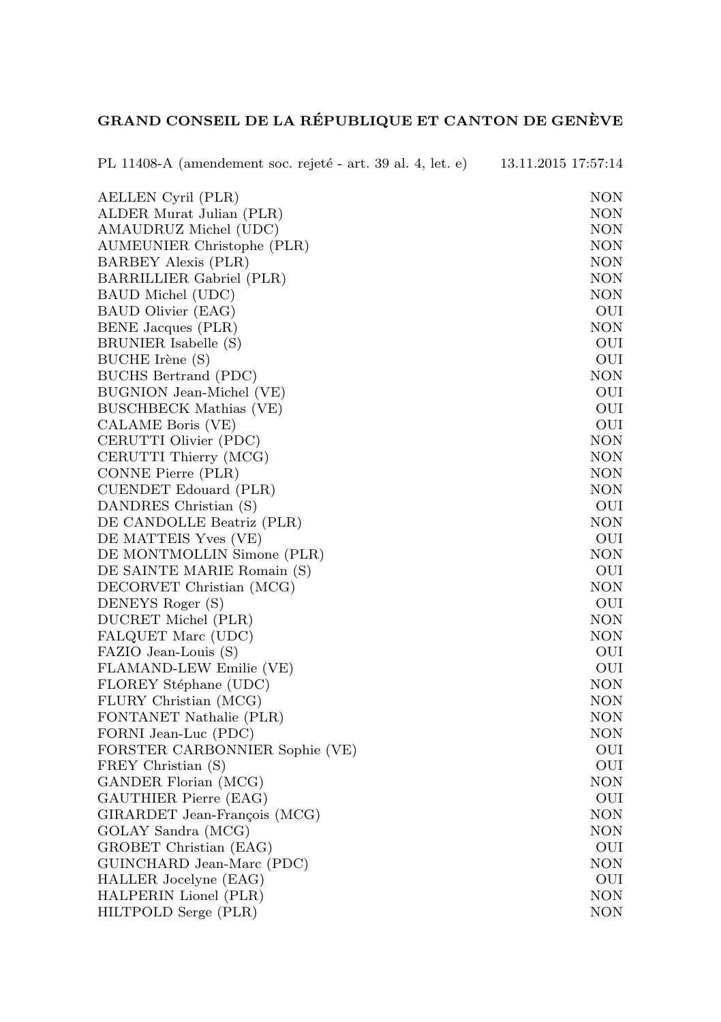## GRAND CONSEIL DE LA RÉPUBLIQUE ET CANTON DE GENÈVE

| PL 11408-A (amendement soc. rejeté - art. 39 al. 4, let. e) | 13.11.2015 17:57:14 |
|-------------------------------------------------------------|---------------------|
| AELLEN Cyril (PLR)                                          | NON                 |
| ALDER Murat Julian (PLR)                                    | NON                 |
| AMAUDRUZ Michel (UDC)                                       | NON                 |
| AUMEUNIER Christophe (PLR)                                  | NON                 |
| BARBEY Alexis (PLR)                                         | NON                 |
| BARRILLIER Gabriel (PLR)                                    | NON                 |
| BAUD Michel (UDC)                                           | NON                 |
| BAUD Olivier (EAG)                                          | OUI                 |
| BENE Jacques (PLR)                                          | NON                 |
| BRUNIER Isabelle (S)                                        | OUI                 |
| BUCHE Irène (S)                                             | OUI                 |
| BUCHS Bertrand (PDC)                                        | NON                 |
| BUGNION Jean-Michel (VE)                                    | OUI                 |
| BUSCHBECK Mathias (VE)                                      | OUI                 |
| CALAME Boris (VE)                                           | OUI                 |
| CERUTTI Olivier (PDC)                                       | NON                 |
| CERUTTI Thierry (MCG)                                       | NON                 |
| CONNE Pierre (PLR)                                          | NON                 |
| CUENDET Edouard (PLR)                                       | NON                 |
| DANDRES Christian (S)                                       | OUI                 |
| DE CANDOLLE Beatriz (PLR)                                   | NON                 |
| DE MATTEIS Yves (VE)                                        | OUI                 |
| DE MONTMOLLIN Simone (PLR)                                  | NON                 |
| DE SAINTE MARIE Romain (S)                                  | OUI                 |
| DECORVET Christian (MCG)                                    | NON                 |
| DENEYS Roger (S)                                            | OUI                 |
| DUCRET Michel (PLR)                                         | NON                 |
| FALQUET Marc (UDC)                                          | NON                 |
| FAZIO Jean-Louis (S)                                        | OUI                 |
| FLAMAND-LEW Emilie (VE)                                     | OUI                 |
| FLOREY Stéphane (UDC)                                       | NON                 |
| FLURY Christian (MCG)                                       | NON                 |
| FONTANET Nathalie (PLR)                                     | NON                 |
| FORNI Jean-Luc (PDC)                                        | NON                 |
| FORSTER CARBONNIER Sophie (VE)                              | OUI                 |
| FREY Christian (S)                                          | OUI                 |
| GANDER Florian (MCG)                                        | NON                 |
| GAUTHIER Pierre (EAG)                                       | OUI                 |
| GIRARDET Jean-François (MCG)                                | NON                 |
| GOLAY Sandra (MCG)                                          | NON                 |
| GROBET Christian (EAG)                                      | OUI                 |
| GUINCHARD Jean-Marc (PDC)                                   | NON                 |
| HALLER Jocelyne (EAG)                                       | OUI                 |
| HALPERIN Lionel (PLR)                                       | NON                 |
| HILTPOLD Serge (PLR)                                        | NON                 |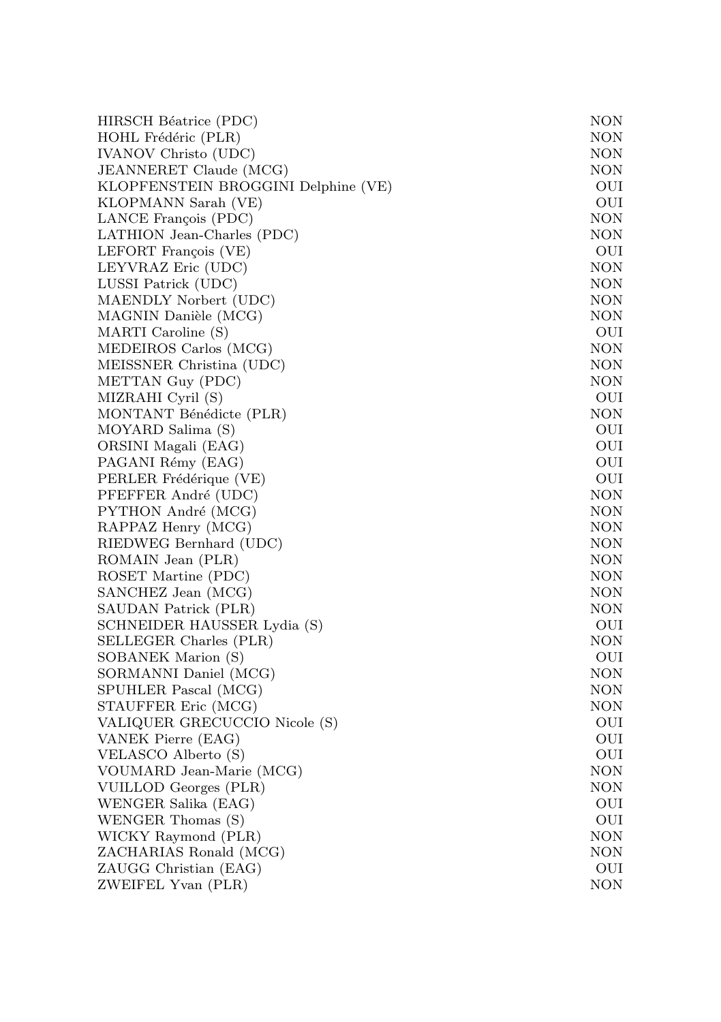| HIRSCH Béatrice (PDC)               | NON        |
|-------------------------------------|------------|
| HOHL Frédéric (PLR)                 | NON        |
| IVANOV Christo (UDC)                | NON        |
| JEANNERET Claude (MCG)              | NON        |
| KLOPFENSTEIN BROGGINI Delphine (VE) | OUI        |
| KLOPMANN Sarah (VE)                 | OUI        |
| LANCE François (PDC)                | NON        |
| LATHION Jean-Charles (PDC)          | NON        |
| LEFORT François (VE)                | OUI        |
| LEYVRAZ Eric (UDC)                  | <b>NON</b> |
| LUSSI Patrick (UDC)                 | <b>NON</b> |
| MAENDLY Norbert (UDC)               | <b>NON</b> |
| MAGNIN Danièle (MCG)                | NON        |
| MARTI Caroline (S)                  | OUI        |
| MEDEIROS Carlos (MCG)               | <b>NON</b> |
| MEISSNER Christina (UDC)            | NON        |
| METTAN Guy (PDC)                    | NON        |
| MIZRAHI Cyril (S)                   | OUI        |
| MONTANT Bénédicte (PLR)             | NON        |
| MOYARD Salima (S)                   | OUI        |
| ORSINI Magali (EAG)                 | OUI        |
| PAGANI Rémy (EAG)                   | OUI        |
| PERLER Frédérique (VE)              | OUI        |
| PFEFFER André (UDC)                 | NON        |
| PYTHON André (MCG)                  | <b>NON</b> |
| RAPPAZ Henry (MCG)                  | <b>NON</b> |
| RIEDWEG Bernhard (UDC)              | <b>NON</b> |
| ROMAIN Jean (PLR)                   | NON        |
| ROSET Martine (PDC)                 | NON        |
| SANCHEZ Jean (MCG)                  | NON        |
| SAUDAN Patrick (PLR)                | NON        |
| SCHNEIDER HAUSSER Lydia (S)         | OUI        |
| SELLEGER Charles (PLR)              | NON        |
| SOBANEK Marion (S)                  | OUI        |
| SORMANNI Daniel (MCG)               | NON        |
| SPUHLER Pascal (MCG)                | NON        |
| STAUFFER Eric (MCG)                 | NON        |
| VALIQUER GRECUCCIO Nicole (S)       | OUI        |
| VANEK Pierre (EAG)                  | OUI        |
| VELASCO Alberto (S)                 | OUI        |
| VOUMARD Jean-Marie (MCG)            | NON        |
| VUILLOD Georges (PLR)               | NON        |
| WENGER Salika (EAG)                 | OUI        |
| WENGER Thomas (S)                   | OUI        |
| WICKY Raymond (PLR)                 | NON        |
| ZACHARIAS Ronald (MCG)              | NON        |
| ZAUGG Christian (EAG)               | OUI        |
| ZWEIFEL Yvan (PLR)                  | NON        |